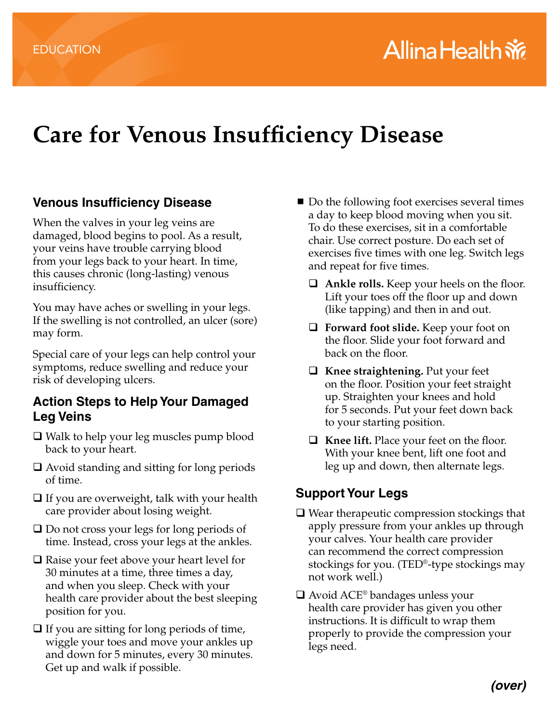# **Care for Venous Insufficiency Disease**

### **Venous Insufficiency Disease**

When the valves in your leg veins are damaged, blood begins to pool. As a result, your veins have trouble carrying blood from your legs back to your heart. In time, this causes chronic (long-lasting) venous insufficiency.

You may have aches or swelling in your legs. If the swelling is not controlled, an ulcer (sore) may form.

Special care of your legs can help control your symptoms, reduce swelling and reduce your risk of developing ulcers.

#### **Action Steps to Help Your Damaged Leg Veins**

- Walk to help your leg muscles pump blood back to your heart.
- Avoid standing and sitting for long periods of time.
- $\Box$  If you are overweight, talk with your health care provider about losing weight.
- Do not cross your legs for long periods of time. Instead, cross your legs at the ankles.
- Raise your feet above your heart level for 30 minutes at a time, three times a day, and when you sleep. Check with your health care provider about the best sleeping position for you.
- $\Box$  If you are sitting for long periods of time, wiggle your toes and move your ankles up and down for 5 minutes, every 30 minutes. Get up and walk if possible.
- Do the following foot exercises several times a day to keep blood moving when you sit. To do these exercises, sit in a comfortable chair. Use correct posture. Do each set of exercises five times with one leg. Switch legs and repeat for five times.
	- **Ankle rolls.** Keep your heels on the floor. Lift your toes off the floor up and down (like tapping) and then in and out.
	- **Forward foot slide.** Keep your foot on the floor. Slide your foot forward and back on the floor.
	- **Knee straightening.** Put your feet on the floor. Position your feet straight up. Straighten your knees and hold for 5 seconds. Put your feet down back to your starting position.
	- **Knee lift.** Place your feet on the floor. With your knee bent, lift one foot and leg up and down, then alternate legs.

## **Support Your Legs**

- $\Box$  Wear therapeutic compression stockings that apply pressure from your ankles up through your calves. Your health care provider can recommend the correct compression stockings for you. (TED®-type stockings may not work well.)
- $\Box$  Avoid ACE® bandages unless your health care provider has given you other instructions. It is difficult to wrap them properly to provide the compression your legs need.